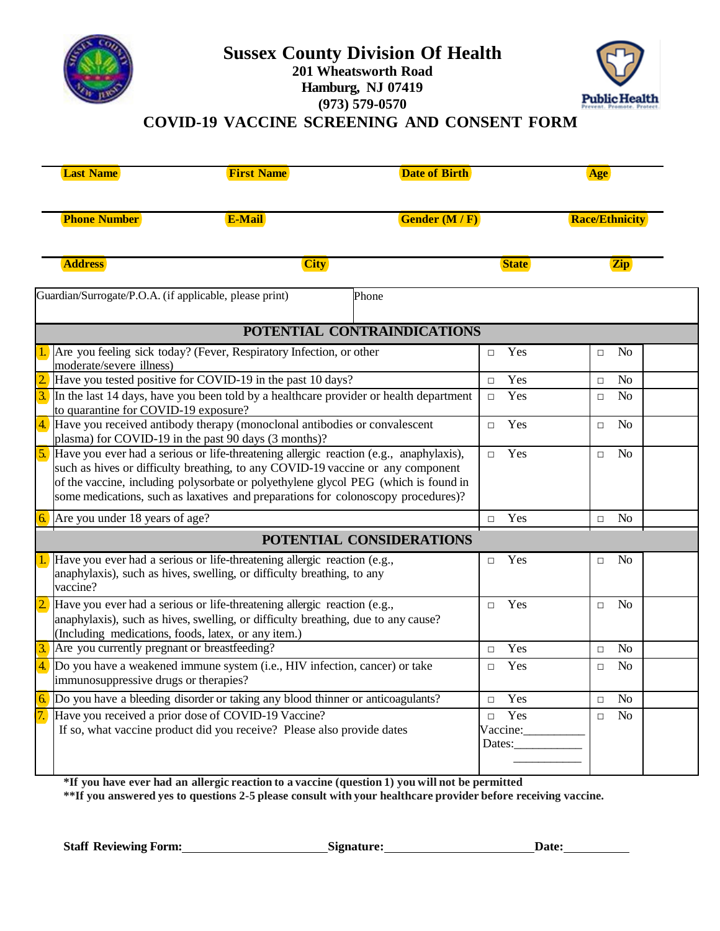

## **Sussex County Division Of Health 201 Wheatsworth Road Hamburg, NJ 07419 (973) 579-0570**



#### **COVID-19 VACCINE SCREENING AND CONSENT FORM**

| <b>Last Name</b>                                                                                                                                                                                                                                                                                                                                         | <b>First Name</b>                                                                                                                                  | <b>Date of Birth</b>                                                                          |               |                          |                       |  |
|----------------------------------------------------------------------------------------------------------------------------------------------------------------------------------------------------------------------------------------------------------------------------------------------------------------------------------------------------------|----------------------------------------------------------------------------------------------------------------------------------------------------|-----------------------------------------------------------------------------------------------|---------------|--------------------------|-----------------------|--|
| <b>Phone Number</b>                                                                                                                                                                                                                                                                                                                                      | <b>E-Mail</b>                                                                                                                                      |                                                                                               | Gender (M/F)  |                          | <b>Race/Ethnicity</b> |  |
| <b>Address</b>                                                                                                                                                                                                                                                                                                                                           | <b>City</b>                                                                                                                                        |                                                                                               | <b>State</b>  | <b>Zip</b>               |                       |  |
| Guardian/Surrogate/P.O.A. (if applicable, please print)                                                                                                                                                                                                                                                                                                  |                                                                                                                                                    | Phone                                                                                         |               |                          |                       |  |
|                                                                                                                                                                                                                                                                                                                                                          |                                                                                                                                                    | POTENTIAL CONTRAINDICATIONS                                                                   |               |                          |                       |  |
| moderate/severe illness)                                                                                                                                                                                                                                                                                                                                 | Are you feeling sick today? (Fever, Respiratory Infection, or other                                                                                |                                                                                               | Yes<br>$\Box$ | N <sub>o</sub><br>$\Box$ |                       |  |
|                                                                                                                                                                                                                                                                                                                                                          | Have you tested positive for COVID-19 in the past 10 days?                                                                                         |                                                                                               | Yes<br>$\Box$ | No<br>$\Box$             |                       |  |
| $\frac{3}{2}$ In the last 14 days, have you been told by a healthcare provider or health department<br>to quarantine for COVID-19 exposure?                                                                                                                                                                                                              |                                                                                                                                                    |                                                                                               |               | No<br>$\Box$             |                       |  |
| 4. Have you received antibody therapy (monoclonal antibodies or convalescent<br>plasma) for COVID-19 in the past 90 days (3 months)?                                                                                                                                                                                                                     | Yes<br>$\Box$                                                                                                                                      | N <sub>o</sub><br>$\Box$                                                                      |               |                          |                       |  |
| 5. Have you ever had a serious or life-threatening allergic reaction (e.g., anaphylaxis),<br>such as hives or difficulty breathing, to any COVID-19 vaccine or any component<br>of the vaccine, including polysorbate or polyethylene glycol PEG (which is found in<br>some medications, such as laxatives and preparations for colonoscopy procedures)? |                                                                                                                                                    |                                                                                               |               | N <sub>o</sub><br>$\Box$ |                       |  |
| 6.                                                                                                                                                                                                                                                                                                                                                       | Are you under 18 years of age?                                                                                                                     |                                                                                               |               |                          |                       |  |
|                                                                                                                                                                                                                                                                                                                                                          |                                                                                                                                                    | POTENTIAL CONSIDERATIONS                                                                      |               |                          |                       |  |
| vaccine?                                                                                                                                                                                                                                                                                                                                                 | Have you ever had a serious or life-threatening allergic reaction (e.g.,<br>anaphylaxis), such as hives, swelling, or difficulty breathing, to any |                                                                                               | Yes<br>$\Box$ | N <sub>o</sub><br>$\Box$ |                       |  |
| Have you ever had a serious or life-threatening allergic reaction (e.g.,<br>anaphylaxis), such as hives, swelling, or difficulty breathing, due to any cause?<br>(Including medications, foods, latex, or any item.)                                                                                                                                     | Yes<br>$\Box$                                                                                                                                      | No<br>$\Box$                                                                                  |               |                          |                       |  |
| Are you currently pregnant or breastfeeding?                                                                                                                                                                                                                                                                                                             | Yes<br>$\Box$                                                                                                                                      | N <sub>o</sub><br>$\Box$                                                                      |               |                          |                       |  |
| $\frac{4}{2}$ Do you have a weakened immune system (i.e., HIV infection, cancer) or take<br>immunosuppressive drugs or therapies?                                                                                                                                                                                                                        | Yes<br>$\Box$                                                                                                                                      | No<br>$\Box$                                                                                  |               |                          |                       |  |
|                                                                                                                                                                                                                                                                                                                                                          | Do you have a bleeding disorder or taking any blood thinner or anticoagulants?                                                                     |                                                                                               |               |                          |                       |  |
| Have you received a prior dose of COVID-19 Vaccine?<br>If so, what vaccine product did you receive? Please also provide dates                                                                                                                                                                                                                            | Yes<br>$\Box$<br>Vaccine:<br>Dates:                                                                                                                | No<br>$\Box$                                                                                  |               |                          |                       |  |
|                                                                                                                                                                                                                                                                                                                                                          |                                                                                                                                                    | If you have ever had an alleggia reaction to a veceine (question 1) you will not be normitted |               |                          |                       |  |

**\*If you have ever had an allergic reaction to a vaccine (question 1) you will not be permitted**

**\*\*If you answered yes to questions 2-5 please consult with your healthcare provider before receiving vaccine.**

**Staff** Reviewing Form: Signature: Signature: Date: Date: